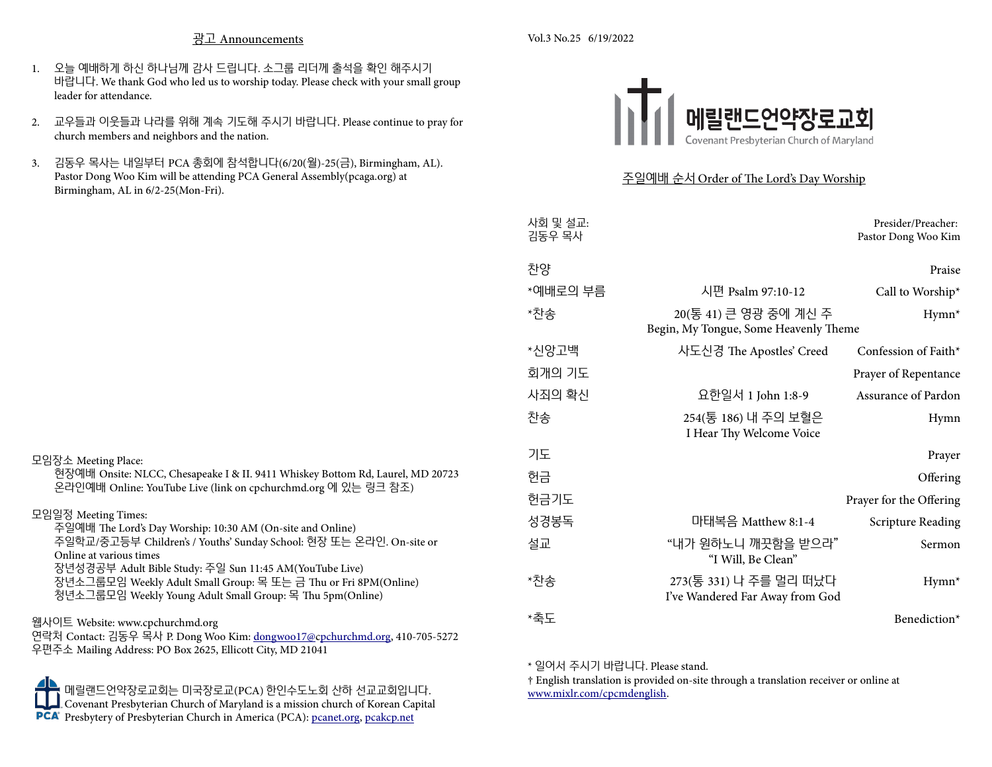#### 광고 Announcements

- Vol.3 No.25 6/19/2022
- 1. 오늘 예배하게 하신 하나님께 감사 드립니다. 소그룹 리더께 출석을 확인 해주시기 바랍니다. We thank God who led us to worship today. Please check with your small group leader for attendance.
- 2. 교우들과 이웃들과 나라를 위해 계속 기도해 주시기 바랍니다. Please continue to pray for church members and neighbors and the nation.
- 3. 김동우 목사는 내일부터 PCA 총회에 참석합니다(6/20(월)-25(금), Birmingham, AL). Pastor Dong Woo Kim will be attending PCA General Assembly(pcaga.org) at Birmingham, AL in 6/2-25(Mon-Fri).



# 주일예배 순서 Order of The Lord's Day Worship

| Presider/Preacher:<br>Pastor Dong Woo Kim |                                                                | 사회 및 설교:<br>김동우 목사 |
|-------------------------------------------|----------------------------------------------------------------|--------------------|
| Praise                                    |                                                                | 찬양                 |
| Call to Worship*                          | 시편 Psalm 97:10-12                                              | *예배로의 부름           |
| Hymn <sup>*</sup>                         | 20(통 41) 큰 영광 중에 계신 주<br>Begin, My Tongue, Some Heavenly Theme | *찬송                |
| Confession of Faith*                      | 사도신경 The Apostles' Creed                                       | *신앙고백              |
| Prayer of Repentance                      |                                                                | 회개의 기도             |
| <b>Assurance of Pardon</b>                | 요한일서 1 John 1:8-9                                              | 사죄의 확신             |
| Hymn                                      | 254(통 186) 내 주의 보혈은<br>I Hear Thy Welcome Voice                | 찬송                 |
| Prayer                                    |                                                                | 기도                 |
| Offering                                  |                                                                | 헌금                 |
| Prayer for the Offering                   |                                                                | 헌금기도               |
| <b>Scripture Reading</b>                  | 마태복음 Matthew 8:1-4                                             | 성경봉독               |
| Sermon                                    | "내가 원하노니 깨끗함을 받으라"<br>"I Will, Be Clean"                       | 설교                 |
| $Hymn*$                                   | 273(통 331) 나 주를 멀리 떠났다<br>I've Wandered Far Away from God      | *찬송                |
| Benediction*                              |                                                                | *축도                |

\* 일어서 주시기 바랍니다. Please stand.

† English translation is provided on-site through a translation receiver or online at [www.mixlr.com/cpcmdenglish](http://www.mixlr.com/cpcmdenglish).

장년소그룹모임 Weekly Adult Small Group: 목 또는 금 Thu or Fri 8PM(Online) 청년소그룹모임 Weekly Young Adult Small Group: 목 Thu 5pm(Online)

# 웹사이트 Website: www.cpchurchmd.org

모임장소 Meeting Place:

연락처 Contact: 김동우 목사 P. Dong Woo Kim: dongwoo17@cpchurchmd.org, 410-705-5272 우편주소 Mailing Address: PO Box 2625, Ellicott City, MD 21041

메릴랜드언약장로교회는 미국장로교(PCA) 한인수도노회 산하 선교교회입니다. Covenant Presbyterian Church of Maryland is a mission church of Korean Capital Presbytery of Presbyterian Church in America (PCA): <u>[pcanet.org](http://www.pcanet.org/), [pcakcp.net](http://www.pcakcp.net/)</u>